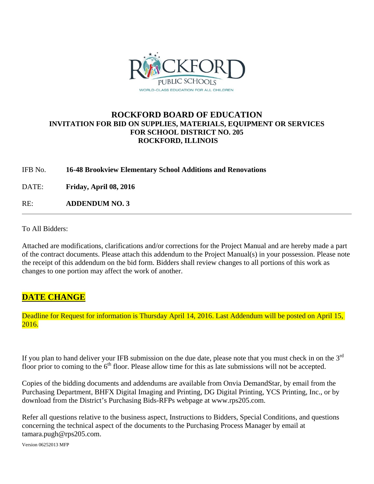

## **ROCKFORD BOARD OF EDUCATION INVITATION FOR BID ON SUPPLIES, MATERIALS, EQUIPMENT OR SERVICES FOR SCHOOL DISTRICT NO. 205 ROCKFORD, ILLINOIS**

## IFB No. **16-48 Brookview Elementary School Additions and Renovations**

DATE: **Friday, April 08, 2016** 

RE: **ADDENDUM NO. 3**

To All Bidders:

Attached are modifications, clarifications and/or corrections for the Project Manual and are hereby made a part of the contract documents. Please attach this addendum to the Project Manual(s) in your possession. Please note the receipt of this addendum on the bid form. Bidders shall review changes to all portions of this work as changes to one portion may affect the work of another.

## **DATE CHANGE**

Deadline for Request for information is Thursday April 14, 2016. Last Addendum will be posted on April 15, 2016.

If you plan to hand deliver your IFB submission on the due date, please note that you must check in on the 3<sup>rd</sup> floor prior to coming to the  $6<sup>th</sup>$  floor. Please allow time for this as late submissions will not be accepted.

Copies of the bidding documents and addendums are available from Onvia DemandStar, by email from the Purchasing Department, BHFX Digital Imaging and Printing, DG Digital Printing, YCS Printing, Inc., or by download from the District's Purchasing Bids-RFPs webpage at www.rps205.com.

Refer all questions relative to the business aspect, Instructions to Bidders, Special Conditions, and questions concerning the technical aspect of the documents to the Purchasing Process Manager by email at tamara.pugh@rps205.com.

Version 06252013 MFP